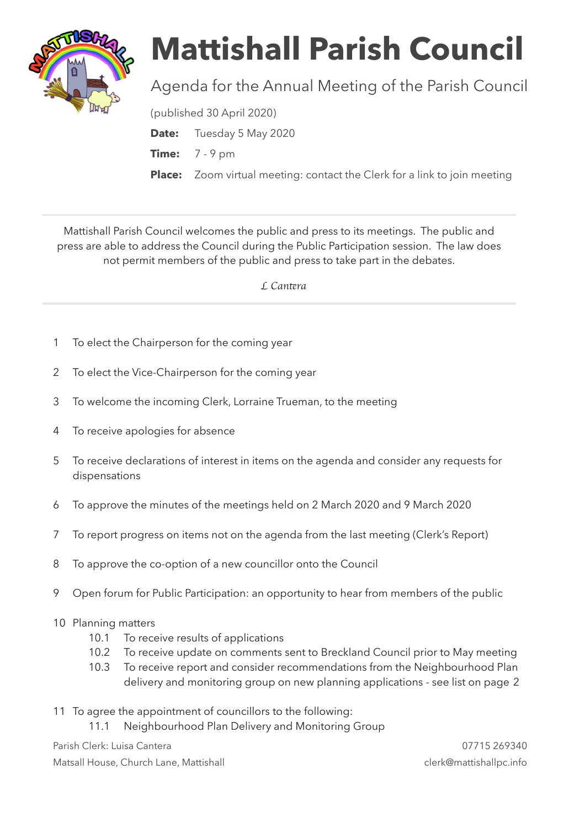

## **Mattishall Parish Council**

## Agenda for the Annual Meeting of the Parish Council

(published 30 April 2020)

**Date:** Tuesday 5 May 2020

**Time:** 7 - 9 pm

**Place:** Zoom virtual meeting: contact the Clerk for a link to join meeting

Mattishall Parish Council welcomes the public and press to its meetings. The public and press are able to address the Council during the Public Participation session. The law does not permit members of the public and press to take part in the debates.

 *L Can*t*ra* 

- 1 To elect the Chairperson for the coming year
- 2 To elect the Vice-Chairperson for the coming year
- 3 To welcome the incoming Clerk, Lorraine Trueman, to the meeting
- 4 To receive apologies for absence
- 5 To receive declarations of interest in items on the agenda and consider any requests for dispensations
- 6 To approve the minutes of the meetings held on 2 March 2020 and 9 March 2020
- 7 To report progress on items not on the agenda from the last meeting (Clerk's Report)
- 8 To approve the co-option of a new councillor onto the Council
- 9 Open forum for Public Participation: an opportunity to hear from members of the public
- 10 Planning matters
	- 10.1 To receive results of applications
	- 10.2 To receive update on comments sent to Breckland Council prior to May meeting
	- 10.3 To receive report and consider recommendations from the Neighbourhood Plan delivery and monitoring group on new planning applications - see list on page 2
- 11 To agree the appointment of councillors to the following:
	- 11.1 Neighbourhood Plan Delivery and Monitoring Group

Parish Clerk: Luisa Cantera 07715 269340 Matsall House, Church Lane, Mattishall clerk@mattishallpc.info